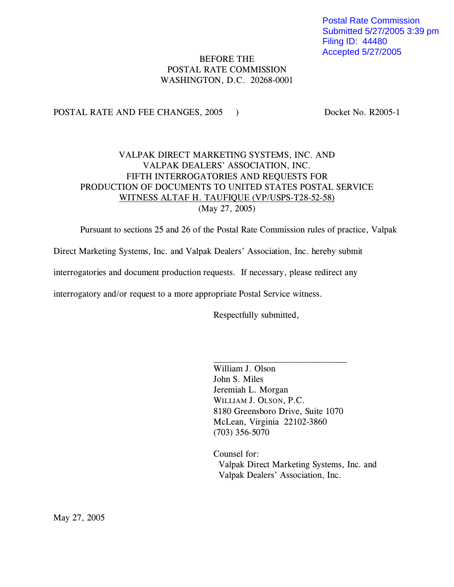Postal Rate Commission Submitted 5/27/2005 3:39 pm Filing ID: 44480 Accepted 5/27/2005

## BEFORE THE POSTAL RATE COMMISSION WASHINGTON, D.C. 20268-0001

POSTAL RATE AND FEE CHANGES, 2005 ) Docket No. R2005-1

# VALPAK DIRECT MARKETING SYSTEMS, INC. AND VALPAK DEALERS' ASSOCIATION, INC. FIFTH INTERROGATORIES AND REQUESTS FOR PRODUCTION OF DOCUMENTS TO UNITED STATES POSTAL SERVICE WITNESS ALTAF H. TAUFIQUE (VP/USPS-T28-52-58) (May 27, 2005)

Pursuant to sections 25 and 26 of the Postal Rate Commission rules of practice, Valpak

Direct Marketing Systems, Inc. and Valpak Dealers' Association, Inc. hereby submit

interrogatories and document production requests. If necessary, please redirect any

interrogatory and/or request to a more appropriate Postal Service witness.

Respectfully submitted,

William J. Olson John S. Miles Jeremiah L. Morgan WILLIAM J. OLSON, P.C. 8180 Greensboro Drive, Suite 1070 McLean, Virginia 22102-3860 (703) 356-5070

 $\overline{\phantom{a}}$  , where  $\overline{\phantom{a}}$  , where  $\overline{\phantom{a}}$  , where  $\overline{\phantom{a}}$  , where  $\overline{\phantom{a}}$ 

Counsel for: Valpak Direct Marketing Systems, Inc. and Valpak Dealers' Association, Inc.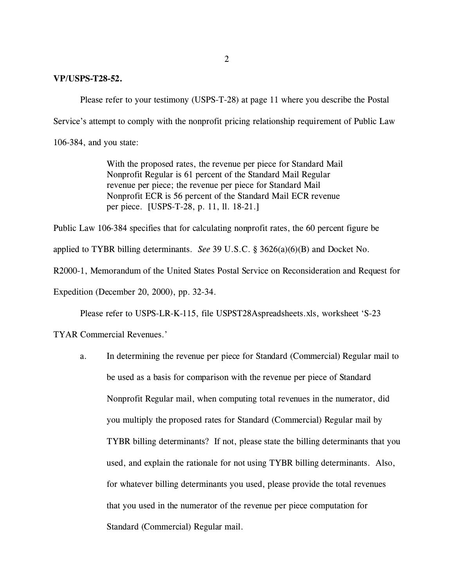### **VP/USPS-T28-52.**

Please refer to your testimony (USPS-T-28) at page 11 where you describe the Postal Service's attempt to comply with the nonprofit pricing relationship requirement of Public Law 106-384, and you state:

> With the proposed rates, the revenue per piece for Standard Mail Nonprofit Regular is 61 percent of the Standard Mail Regular revenue per piece; the revenue per piece for Standard Mail Nonprofit ECR is 56 percent of the Standard Mail ECR revenue per piece. [USPS-T-28, p. 11, ll. 18-21.]

Public Law 106-384 specifies that for calculating nonprofit rates, the 60 percent figure be applied to TYBR billing determinants. *See* 39 U.S.C. § 3626(a)(6)(B) and Docket No. R2000-1, Memorandum of the United States Postal Service on Reconsideration and Request for Expedition (December 20, 2000), pp. 32-34.

Please refer to USPS-LR-K-115, file USPST28Aspreadsheets.xls, worksheet 'S-23

TYAR Commercial Revenues.'

a. In determining the revenue per piece for Standard (Commercial) Regular mail to be used as a basis for comparison with the revenue per piece of Standard Nonprofit Regular mail, when computing total revenues in the numerator, did you multiply the proposed rates for Standard (Commercial) Regular mail by TYBR billing determinants? If not, please state the billing determinants that you used, and explain the rationale for not using TYBR billing determinants. Also, for whatever billing determinants you used, please provide the total revenues that you used in the numerator of the revenue per piece computation for Standard (Commercial) Regular mail.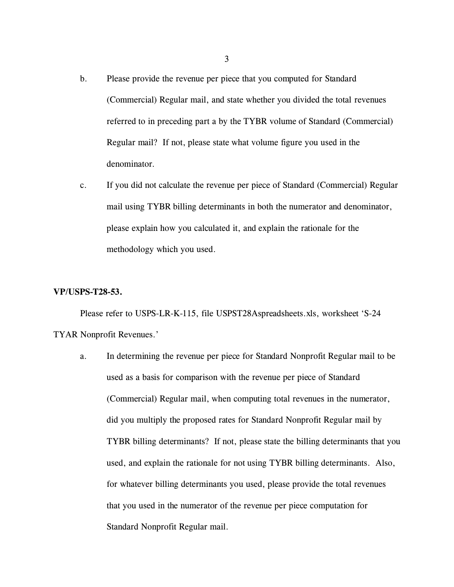- b. Please provide the revenue per piece that you computed for Standard (Commercial) Regular mail, and state whether you divided the total revenues referred to in preceding part a by the TYBR volume of Standard (Commercial) Regular mail? If not, please state what volume figure you used in the denominator.
- c. If you did not calculate the revenue per piece of Standard (Commercial) Regular mail using TYBR billing determinants in both the numerator and denominator, please explain how you calculated it, and explain the rationale for the methodology which you used.

### **VP/USPS-T28-53.**

Please refer to USPS-LR-K-115, file USPST28Aspreadsheets.xls, worksheet 'S-24 TYAR Nonprofit Revenues.'

a. In determining the revenue per piece for Standard Nonprofit Regular mail to be used as a basis for comparison with the revenue per piece of Standard (Commercial) Regular mail, when computing total revenues in the numerator, did you multiply the proposed rates for Standard Nonprofit Regular mail by TYBR billing determinants? If not, please state the billing determinants that you used, and explain the rationale for not using TYBR billing determinants. Also, for whatever billing determinants you used, please provide the total revenues that you used in the numerator of the revenue per piece computation for Standard Nonprofit Regular mail.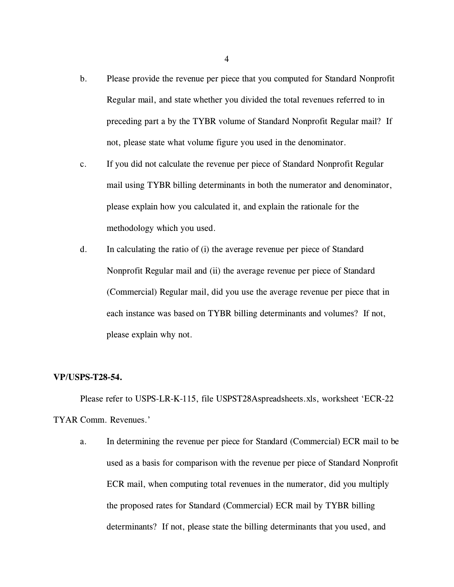- b. Please provide the revenue per piece that you computed for Standard Nonprofit Regular mail, and state whether you divided the total revenues referred to in preceding part a by the TYBR volume of Standard Nonprofit Regular mail? If not, please state what volume figure you used in the denominator.
- c. If you did not calculate the revenue per piece of Standard Nonprofit Regular mail using TYBR billing determinants in both the numerator and denominator, please explain how you calculated it, and explain the rationale for the methodology which you used.
- d. In calculating the ratio of (i) the average revenue per piece of Standard Nonprofit Regular mail and (ii) the average revenue per piece of Standard (Commercial) Regular mail, did you use the average revenue per piece that in each instance was based on TYBR billing determinants and volumes? If not, please explain why not.

## **VP/USPS-T28-54.**

Please refer to USPS-LR-K-115, file USPST28Aspreadsheets.xls, worksheet 'ECR-22 TYAR Comm. Revenues.'

a. In determining the revenue per piece for Standard (Commercial) ECR mail to be used as a basis for comparison with the revenue per piece of Standard Nonprofit ECR mail, when computing total revenues in the numerator, did you multiply the proposed rates for Standard (Commercial) ECR mail by TYBR billing determinants? If not, please state the billing determinants that you used, and

4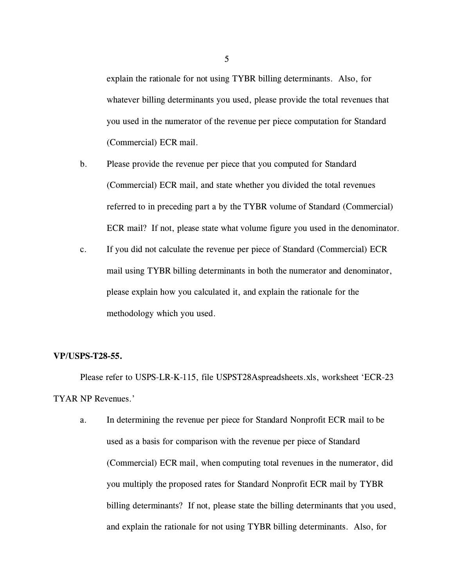explain the rationale for not using TYBR billing determinants. Also, for whatever billing determinants you used, please provide the total revenues that you used in the numerator of the revenue per piece computation for Standard (Commercial) ECR mail.

- b. Please provide the revenue per piece that you computed for Standard (Commercial) ECR mail, and state whether you divided the total revenues referred to in preceding part a by the TYBR volume of Standard (Commercial) ECR mail? If not, please state what volume figure you used in the denominator.
- c. If you did not calculate the revenue per piece of Standard (Commercial) ECR mail using TYBR billing determinants in both the numerator and denominator, please explain how you calculated it, and explain the rationale for the methodology which you used.

### **VP/USPS-T28-55.**

Please refer to USPS-LR-K-115, file USPST28Aspreadsheets.xls, worksheet 'ECR-23 TYAR NP Revenues.'

a. In determining the revenue per piece for Standard Nonprofit ECR mail to be used as a basis for comparison with the revenue per piece of Standard (Commercial) ECR mail, when computing total revenues in the numerator, did you multiply the proposed rates for Standard Nonprofit ECR mail by TYBR billing determinants? If not, please state the billing determinants that you used, and explain the rationale for not using TYBR billing determinants. Also, for

5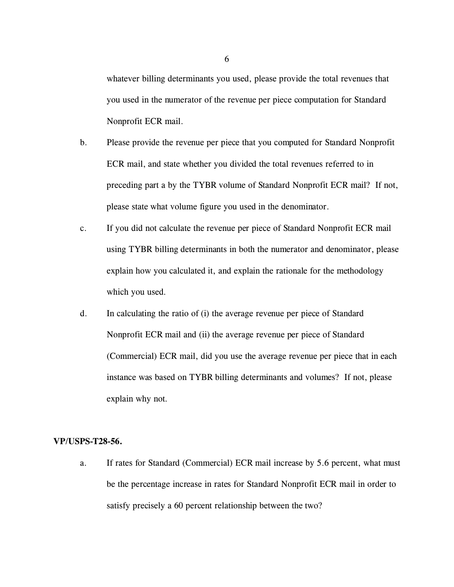whatever billing determinants you used, please provide the total revenues that you used in the numerator of the revenue per piece computation for Standard Nonprofit ECR mail.

- b. Please provide the revenue per piece that you computed for Standard Nonprofit ECR mail, and state whether you divided the total revenues referred to in preceding part a by the TYBR volume of Standard Nonprofit ECR mail? If not, please state what volume figure you used in the denominator.
- c. If you did not calculate the revenue per piece of Standard Nonprofit ECR mail using TYBR billing determinants in both the numerator and denominator, please explain how you calculated it, and explain the rationale for the methodology which you used.
- d. In calculating the ratio of (i) the average revenue per piece of Standard Nonprofit ECR mail and (ii) the average revenue per piece of Standard (Commercial) ECR mail, did you use the average revenue per piece that in each instance was based on TYBR billing determinants and volumes? If not, please explain why not.

## **VP/USPS-T28-56.**

a. If rates for Standard (Commercial) ECR mail increase by 5.6 percent, what must be the percentage increase in rates for Standard Nonprofit ECR mail in order to satisfy precisely a 60 percent relationship between the two?

6